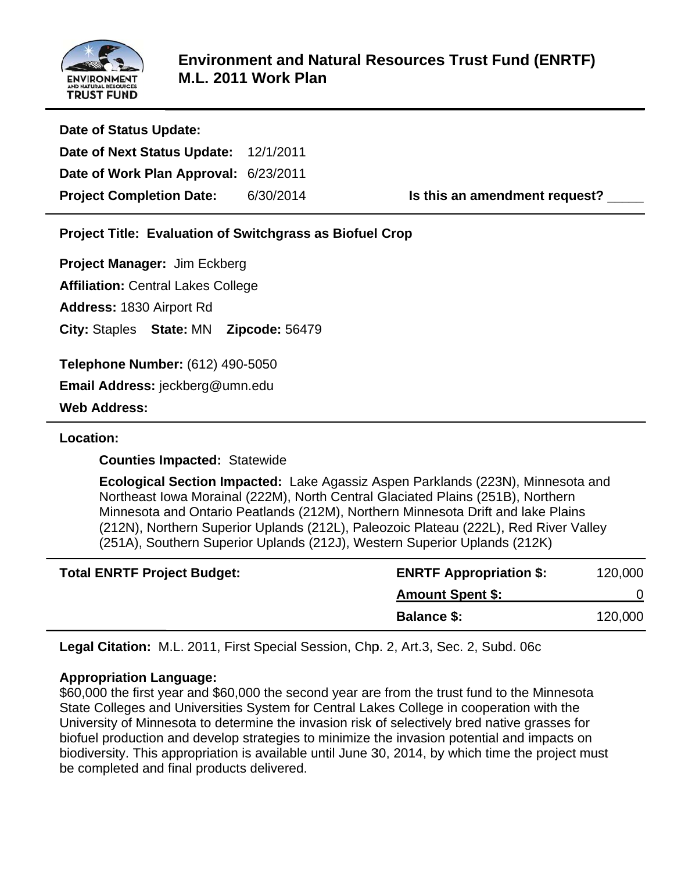

 $\overline{\phantom{a}}$ 

| Date of Status Update:                |           |                               |
|---------------------------------------|-----------|-------------------------------|
| Date of Next Status Update: 12/1/2011 |           |                               |
| Date of Work Plan Approval: 6/23/2011 |           |                               |
| <b>Project Completion Date:</b>       | 6/30/2014 | Is this an amendment request? |

**Project Title: Evaluation of Switchgrass as Biofuel Crop** 

Project Manager: Jim Eckberg

Affiliation: Central Lakes College

Address: 1830 Airport Rd

**City: Staples State: MN Zipcode: 56479** 

**T Telephone Number:** ( (612) 490-5 5050

**E Email Addr ress:** jeckb berg@umn. edu

**W Web Addre ess:** 

# **L Location:**

**Counties Impacted: Statewide** 

**Ecological Section Impacted:** Lake Agassiz Aspen Parklands (223N), Minnesota and Northeast Iowa Morainal (222M), North Central Glaciated Plains (251B), Northern Minnesota and Ontario Peatlands (212M), Northern Minnesota Drift and lake Plains (212N), Northern Superior Uplands (212L), Paleozoic Plateau (222L), Red River Valley (251A), Southern Superior Uplands (212J), Western Superior Uplands (212K)

| <b>Total ENRTF Project Budget:</b> | <b>ENRTF Appropriation \$:</b> | 120,000 |
|------------------------------------|--------------------------------|---------|
|                                    | <b>Amount Spent \$:</b>        |         |
|                                    | <b>Balance \$:</b>             | 120,000 |

**Legal Citation:** M.L. 2011, First Special Session, Chp. 2, Art.3, Sec. 2, Subd. 06c

# **Appropriation Language:**

\$60,000 the first year and \$60,000 the second year are from the trust fund to the Minnesota State Colleges and Universities System for Central Lakes College in cooperation with the University of Minnesota to determine the invasion risk of selectively bred native grasses for biofuel production and develop strategies to minimize the invasion potential and impacts on biodiversity. This appropriation is available until June 30, 2014, by which time the project must be completed and final products delivered.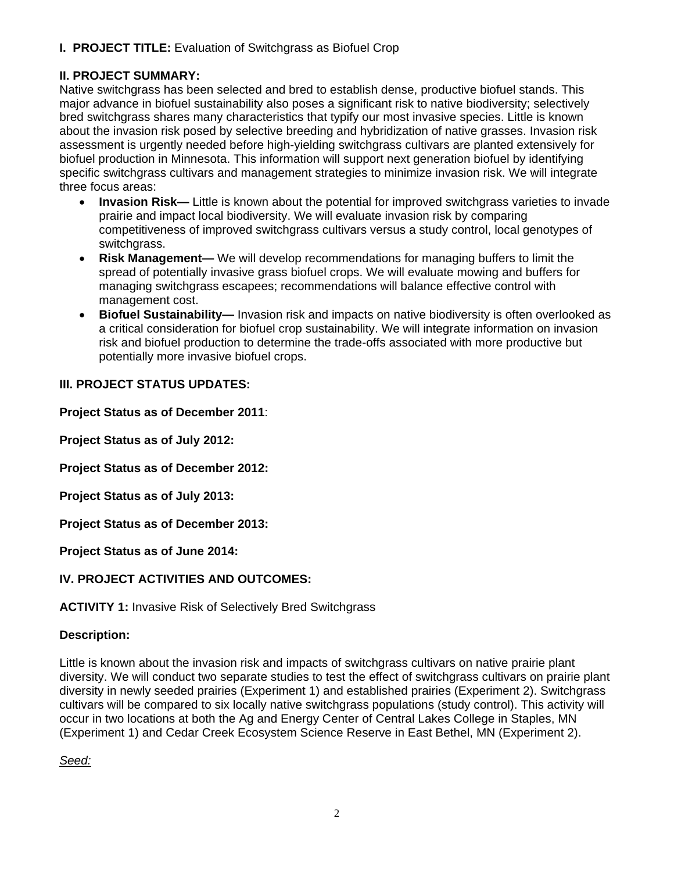# **I. PROJECT TITLE:** Evaluation of Switchgrass as Biofuel Crop

# **II. PROJECT SUMMARY:**

Native switchgrass has been selected and bred to establish dense, productive biofuel stands. This major advance in biofuel sustainability also poses a significant risk to native biodiversity; selectively bred switchgrass shares many characteristics that typify our most invasive species. Little is known about the invasion risk posed by selective breeding and hybridization of native grasses. Invasion risk assessment is urgently needed before high-yielding switchgrass cultivars are planted extensively for biofuel production in Minnesota. This information will support next generation biofuel by identifying specific switchgrass cultivars and management strategies to minimize invasion risk. We will integrate three focus areas:

- **Invasion Risk—** Little is known about the potential for improved switchgrass varieties to invade prairie and impact local biodiversity. We will evaluate invasion risk by comparing competitiveness of improved switchgrass cultivars versus a study control, local genotypes of switchgrass.
- **Risk Management—** We will develop recommendations for managing buffers to limit the spread of potentially invasive grass biofuel crops. We will evaluate mowing and buffers for managing switchgrass escapees; recommendations will balance effective control with management cost.
- **Biofuel Sustainability—** Invasion risk and impacts on native biodiversity is often overlooked as a critical consideration for biofuel crop sustainability. We will integrate information on invasion risk and biofuel production to determine the trade-offs associated with more productive but potentially more invasive biofuel crops.

## **III. PROJECT STATUS UPDATES:**

**Project Status as of December 2011**:

**Project Status as of July 2012:**

**Project Status as of December 2012:**

**Project Status as of July 2013:** 

**Project Status as of December 2013:**

**Project Status as of June 2014:**

# **IV. PROJECT ACTIVITIES AND OUTCOMES:**

### **ACTIVITY 1:** Invasive Risk of Selectively Bred Switchgrass

# **Description:**

Little is known about the invasion risk and impacts of switchgrass cultivars on native prairie plant diversity. We will conduct two separate studies to test the effect of switchgrass cultivars on prairie plant diversity in newly seeded prairies (Experiment 1) and established prairies (Experiment 2). Switchgrass cultivars will be compared to six locally native switchgrass populations (study control). This activity will occur in two locations at both the Ag and Energy Center of Central Lakes College in Staples, MN (Experiment 1) and Cedar Creek Ecosystem Science Reserve in East Bethel, MN (Experiment 2).

*Seed:*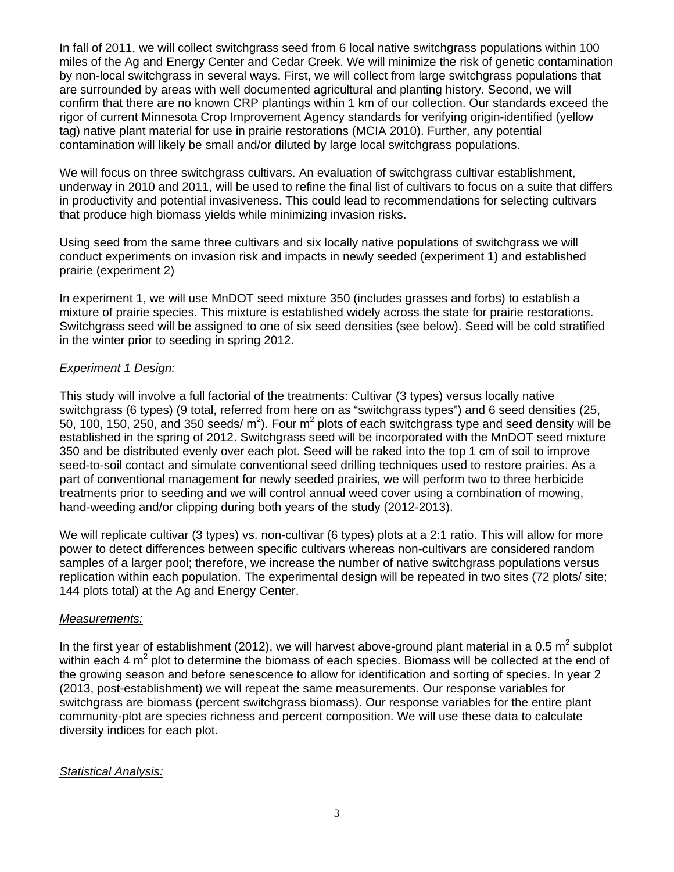In fall of 2011, we will collect switchgrass seed from 6 local native switchgrass populations within 100 miles of the Ag and Energy Center and Cedar Creek. We will minimize the risk of genetic contamination by non-local switchgrass in several ways. First, we will collect from large switchgrass populations that are surrounded by areas with well documented agricultural and planting history. Second, we will confirm that there are no known CRP plantings within 1 km of our collection. Our standards exceed the rigor of current Minnesota Crop Improvement Agency standards for verifying origin-identified (yellow tag) native plant material for use in prairie restorations (MCIA 2010). Further, any potential contamination will likely be small and/or diluted by large local switchgrass populations.

We will focus on three switchgrass cultivars. An evaluation of switchgrass cultivar establishment, underway in 2010 and 2011, will be used to refine the final list of cultivars to focus on a suite that differs in productivity and potential invasiveness. This could lead to recommendations for selecting cultivars that produce high biomass yields while minimizing invasion risks.

Using seed from the same three cultivars and six locally native populations of switchgrass we will conduct experiments on invasion risk and impacts in newly seeded (experiment 1) and established prairie (experiment 2)

In experiment 1, we will use MnDOT seed mixture 350 (includes grasses and forbs) to establish a mixture of prairie species. This mixture is established widely across the state for prairie restorations. Switchgrass seed will be assigned to one of six seed densities (see below). Seed will be cold stratified in the winter prior to seeding in spring 2012.

### *Experiment 1 Design:*

This study will involve a full factorial of the treatments: Cultivar (3 types) versus locally native switchgrass (6 types) (9 total, referred from here on as "switchgrass types") and 6 seed densities (25, 50, 100, 150, 250, and 350 seeds/  $m^2$ ). Four  $m^2$  plots of each switchgrass type and seed density will be established in the spring of 2012. Switchgrass seed will be incorporated with the MnDOT seed mixture 350 and be distributed evenly over each plot. Seed will be raked into the top 1 cm of soil to improve seed-to-soil contact and simulate conventional seed drilling techniques used to restore prairies. As a part of conventional management for newly seeded prairies, we will perform two to three herbicide treatments prior to seeding and we will control annual weed cover using a combination of mowing, hand-weeding and/or clipping during both years of the study (2012-2013).

We will replicate cultivar (3 types) vs. non-cultivar (6 types) plots at a 2:1 ratio. This will allow for more power to detect differences between specific cultivars whereas non-cultivars are considered random samples of a larger pool; therefore, we increase the number of native switchgrass populations versus replication within each population. The experimental design will be repeated in two sites (72 plots/ site; 144 plots total) at the Ag and Energy Center.

### *Measurements:*

In the first year of establishment (2012), we will harvest above-ground plant material in a 0.5 m<sup>2</sup> subplot within each 4  $m^2$  plot to determine the biomass of each species. Biomass will be collected at the end of the growing season and before senescence to allow for identification and sorting of species. In year 2 (2013, post-establishment) we will repeat the same measurements. Our response variables for switchgrass are biomass (percent switchgrass biomass). Our response variables for the entire plant community-plot are species richness and percent composition. We will use these data to calculate diversity indices for each plot.

### *Statistical Analysis:*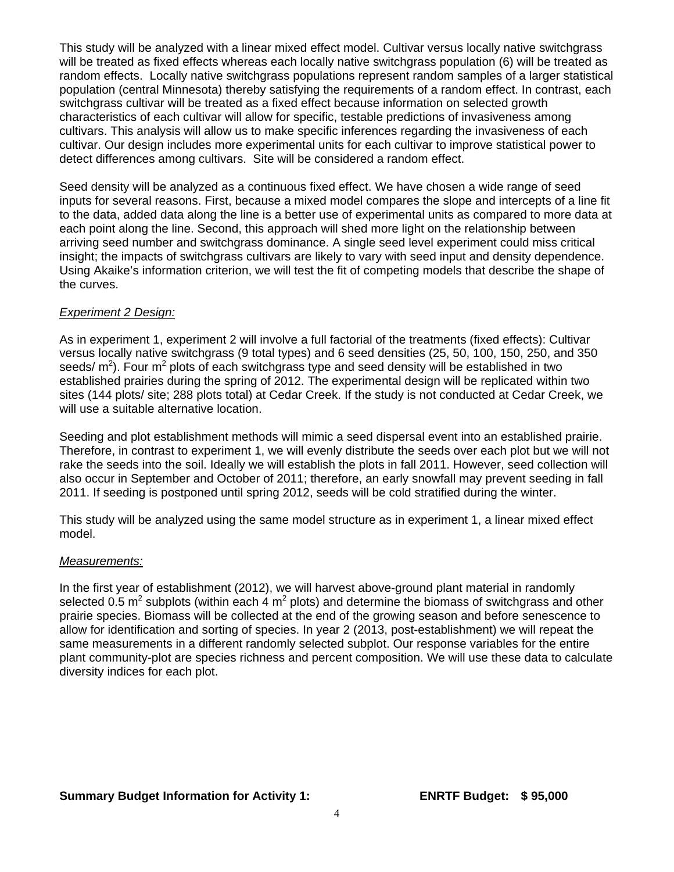This study will be analyzed with a linear mixed effect model. Cultivar versus locally native switchgrass will be treated as fixed effects whereas each locally native switchgrass population (6) will be treated as random effects. Locally native switchgrass populations represent random samples of a larger statistical population (central Minnesota) thereby satisfying the requirements of a random effect. In contrast, each switchgrass cultivar will be treated as a fixed effect because information on selected growth characteristics of each cultivar will allow for specific, testable predictions of invasiveness among cultivars. This analysis will allow us to make specific inferences regarding the invasiveness of each cultivar. Our design includes more experimental units for each cultivar to improve statistical power to detect differences among cultivars. Site will be considered a random effect.

Seed density will be analyzed as a continuous fixed effect. We have chosen a wide range of seed inputs for several reasons. First, because a mixed model compares the slope and intercepts of a line fit to the data, added data along the line is a better use of experimental units as compared to more data at each point along the line. Second, this approach will shed more light on the relationship between arriving seed number and switchgrass dominance. A single seed level experiment could miss critical insight; the impacts of switchgrass cultivars are likely to vary with seed input and density dependence. Using Akaike's information criterion, we will test the fit of competing models that describe the shape of the curves.

#### *Experiment 2 Design:*

As in experiment 1, experiment 2 will involve a full factorial of the treatments (fixed effects): Cultivar versus locally native switchgrass (9 total types) and 6 seed densities (25, 50, 100, 150, 250, and 350 seeds/  $m^2$ ). Four  $m^2$  plots of each switchgrass type and seed density will be established in two established prairies during the spring of 2012. The experimental design will be replicated within two sites (144 plots/ site; 288 plots total) at Cedar Creek. If the study is not conducted at Cedar Creek, we will use a suitable alternative location.

Seeding and plot establishment methods will mimic a seed dispersal event into an established prairie. Therefore, in contrast to experiment 1, we will evenly distribute the seeds over each plot but we will not rake the seeds into the soil. Ideally we will establish the plots in fall 2011. However, seed collection will also occur in September and October of 2011; therefore, an early snowfall may prevent seeding in fall 2011. If seeding is postponed until spring 2012, seeds will be cold stratified during the winter.

This study will be analyzed using the same model structure as in experiment 1, a linear mixed effect model.

#### *Measurements:*

In the first year of establishment (2012), we will harvest above-ground plant material in randomly selected 0.5 m<sup>2</sup> subplots (within each 4 m<sup>2</sup> plots) and determine the biomass of switchgrass and other prairie species. Biomass will be collected at the end of the growing season and before senescence to allow for identification and sorting of species. In year 2 (2013, post-establishment) we will repeat the same measurements in a different randomly selected subplot. Our response variables for the entire plant community-plot are species richness and percent composition. We will use these data to calculate diversity indices for each plot.

### **Summary Budget Information for Activity 1: ENRTF Budget: \$ 95,000**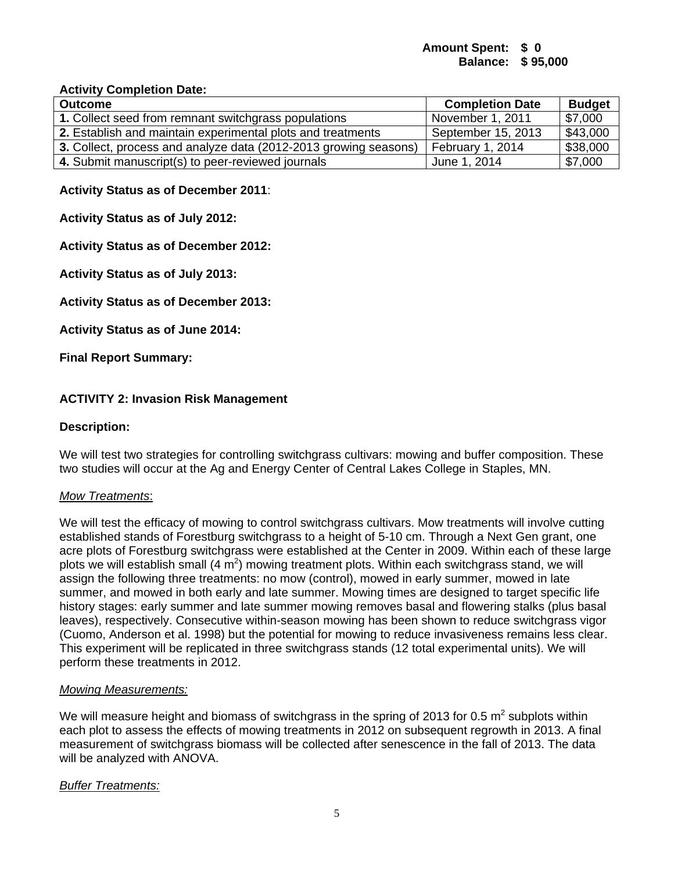### **Amount Spent: \$ 0 Balance: \$ 95,000**

#### **Activity Completion Date:**

| <b>Outcome</b>                                                   | <b>Completion Date</b> | <b>Budget</b>          |
|------------------------------------------------------------------|------------------------|------------------------|
| 1. Collect seed from remnant switchgrass populations             | November 1, 2011       | \$7,000                |
| 2. Establish and maintain experimental plots and treatments      | September 15, 2013     | $\frac{1}{2}$ \$43,000 |
| 3. Collect, process and analyze data (2012-2013 growing seasons) | February 1, 2014       | \$38,000               |
| 4. Submit manuscript(s) to peer-reviewed journals                | June 1, 2014           | \$7,000                |

#### **Activity Status as of December 2011**:

**Activity Status as of July 2012:**

### **Activity Status as of December 2012:**

**Activity Status as of July 2013:** 

**Activity Status as of December 2013:**

**Activity Status as of June 2014:**

**Final Report Summary:**

### **ACTIVITY 2: Invasion Risk Management**

#### **Description:**

We will test two strategies for controlling switchgrass cultivars: mowing and buffer composition. These two studies will occur at the Ag and Energy Center of Central Lakes College in Staples, MN.

#### *Mow Treatments*:

We will test the efficacy of mowing to control switchgrass cultivars. Mow treatments will involve cutting established stands of Forestburg switchgrass to a height of 5-10 cm. Through a Next Gen grant, one acre plots of Forestburg switchgrass were established at the Center in 2009. Within each of these large plots we will establish small (4  $\text{m}^2$ ) mowing treatment plots. Within each switchgrass stand, we will assign the following three treatments: no mow (control), mowed in early summer, mowed in late summer, and mowed in both early and late summer. Mowing times are designed to target specific life history stages: early summer and late summer mowing removes basal and flowering stalks (plus basal leaves), respectively. Consecutive within-season mowing has been shown to reduce switchgrass vigor (Cuomo, Anderson et al. 1998) but the potential for mowing to reduce invasiveness remains less clear. This experiment will be replicated in three switchgrass stands (12 total experimental units). We will perform these treatments in 2012.

#### *Mowing Measurements:*

We will measure height and biomass of switchgrass in the spring of 2013 for 0.5 m<sup>2</sup> subplots within each plot to assess the effects of mowing treatments in 2012 on subsequent regrowth in 2013. A final measurement of switchgrass biomass will be collected after senescence in the fall of 2013. The data will be analyzed with ANOVA.

### *Buffer Treatments:*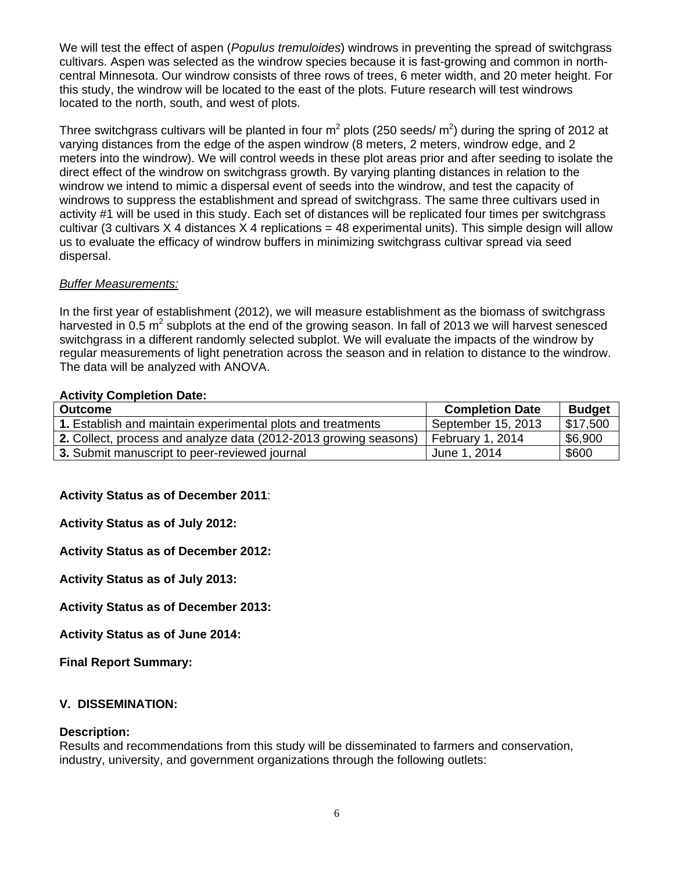We will test the effect of aspen (*Populus tremuloides*) windrows in preventing the spread of switchgrass cultivars. Aspen was selected as the windrow species because it is fast-growing and common in northcentral Minnesota. Our windrow consists of three rows of trees, 6 meter width, and 20 meter height. For this study, the windrow will be located to the east of the plots. Future research will test windrows located to the north, south, and west of plots.

Three switchgrass cultivars will be planted in four m<sup>2</sup> plots (250 seeds/ m<sup>2</sup>) during the spring of 2012 at varying distances from the edge of the aspen windrow (8 meters, 2 meters, windrow edge, and 2 meters into the windrow). We will control weeds in these plot areas prior and after seeding to isolate the direct effect of the windrow on switchgrass growth. By varying planting distances in relation to the windrow we intend to mimic a dispersal event of seeds into the windrow, and test the capacity of windrows to suppress the establishment and spread of switchgrass. The same three cultivars used in activity #1 will be used in this study. Each set of distances will be replicated four times per switchgrass cultivar (3 cultivars  $X$  4 distances  $X$  4 replications = 48 experimental units). This simple design will allow us to evaluate the efficacy of windrow buffers in minimizing switchgrass cultivar spread via seed dispersal.

## *Buffer Measurements:*

In the first year of establishment (2012), we will measure establishment as the biomass of switchgrass harvested in 0.5 m<sup>2</sup> subplots at the end of the growing season. In fall of 2013 we will harvest senesced switchgrass in a different randomly selected subplot. We will evaluate the impacts of the windrow by regular measurements of light penetration across the season and in relation to distance to the windrow. The data will be analyzed with ANOVA.

### **Activity Completion Date:**

| <b>Outcome</b>                                                   | <b>Completion Date</b> | <b>Budget</b>          |
|------------------------------------------------------------------|------------------------|------------------------|
| 1. Establish and maintain experimental plots and treatments      | September 15, 2013     | $\frac{1}{2}$ \$17,500 |
| 2. Collect, process and analyze data (2012-2013 growing seasons) | February 1, 2014       | \$6,900                |
| 3. Submit manuscript to peer-reviewed journal                    | June 1, 2014           | \$600                  |

### **Activity Status as of December 2011**:

**Activity Status as of July 2012:**

### **Activity Status as of December 2012:**

**Activity Status as of July 2013:** 

**Activity Status as of December 2013:**

**Activity Status as of June 2014:**

**Final Report Summary:**

### **V. DISSEMINATION:**

#### **Description:**

Results and recommendations from this study will be disseminated to farmers and conservation, industry, university, and government organizations through the following outlets: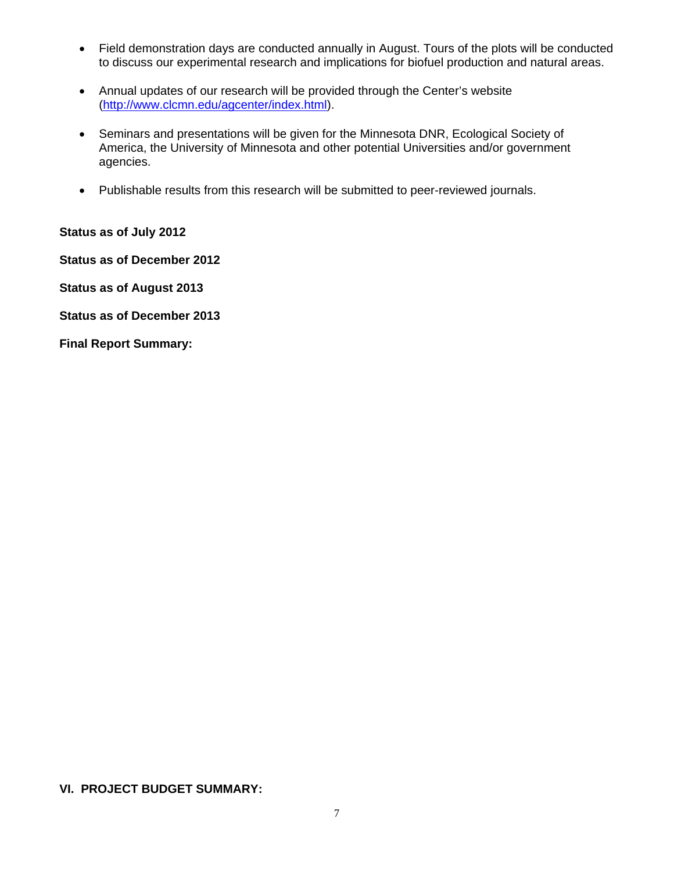- Field demonstration days are conducted annually in August. Tours of the plots will be conducted to discuss our experimental research and implications for biofuel production and natural areas.
- Annual updates of our research will be provided through the Center's website (http://www.clcmn.edu/agcenter/index.html).
- Seminars and presentations will be given for the Minnesota DNR, Ecological Society of America, the University of Minnesota and other potential Universities and/or government agencies.
- Publishable results from this research will be submitted to peer-reviewed journals.

**Status as of July 2012**

**Status as of December 2012**

**Status as of August 2013** 

**Status as of December 2013**

**Final Report Summary:**

### **VI. PROJECT BUDGET SUMMARY:**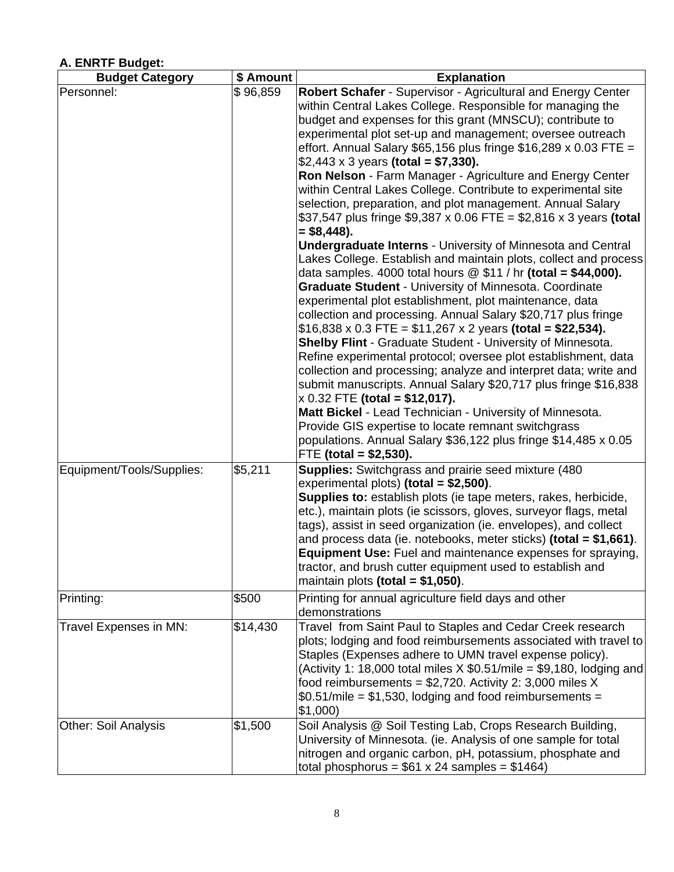#### **Budget Category 1.5 Amount | Explanation**  Explanation Personnel: \$ 96,859 **Robert Schafer** - Supervisor - Agricultural and Energy Center within Central Lakes College. Responsible for managing the budget and expenses for this grant (MNSCU); contribute to experimental plot set-up and management; oversee outreach effort. Annual Salary \$65,156 plus fringe \$16,289 x 0.03 FTE = \$2,443 x 3 years **(total = \$7,330). Ron Nelson** - Farm Manager - Agriculture and Energy Center within Central Lakes College. Contribute to experimental site selection, preparation, and plot management. Annual Salary \$37,547 plus fringe \$9,387 x 0.06 FTE = \$2,816 x 3 years **(total = \$8,448). Undergraduate Interns** - University of Minnesota and Central Lakes College. Establish and maintain plots, collect and process data samples. 4000 total hours @ \$11 / hr **(total = \$44,000). Graduate Student** - University of Minnesota. Coordinate experimental plot establishment, plot maintenance, data collection and processing. Annual Salary \$20,717 plus fringe \$16,838 x 0.3 FTE = \$11,267 x 2 years **(total = \$22,534). Shelby Flint** - Graduate Student - University of Minnesota. Refine experimental protocol; oversee plot establishment, data collection and processing; analyze and interpret data; write and submit manuscripts. Annual Salary \$20,717 plus fringe \$16,838 x 0.32 FTE **(total = \$12,017). Matt Bickel** - Lead Technician - University of Minnesota. Provide GIS expertise to locate remnant switchgrass populations. Annual Salary \$36,122 plus fringe \$14,485 x 0.05 FTE **(total = \$2,530).**  Equipment/Tools/Supplies: \$5,211 **Supplies:** Switchgrass and prairie seed mixture (480 experimental plots) **(total = \$2,500)**. **Supplies to:** establish plots (ie tape meters, rakes, herbicide, etc.), maintain plots (ie scissors, gloves, surveyor flags, metal tags), assist in seed organization (ie. envelopes), and collect and process data (ie. notebooks, meter sticks) **(total = \$1,661)**. **Equipment Use:** Fuel and maintenance expenses for spraying, tractor, and brush cutter equipment used to establish and maintain plots **(total = \$1,050)**. Printing: Trinting for annual agriculture field days and other demonstrations Travel Expenses in MN: \$14,430 Travel from Saint Paul to Staples and Cedar Creek research plots; lodging and food reimbursements associated with travel to Staples (Expenses adhere to UMN travel expense policy). (Activity 1: 18,000 total miles  $X $0.51/mile = $9,180$ , lodging and food reimbursements =  $$2,720$ . Activity 2: 3,000 miles X  $$0.51/mile = $1,530,$  lodging and food reimbursements = \$1,000) Other: Soil Analysis **1.1.500** Soil Analysis @ Soil Testing Lab, Crops Research Building, University of Minnesota. (ie. Analysis of one sample for total nitrogen and organic carbon, pH, potassium, phosphate and total phosphorus =  $$61 x 24$  samples =  $$1464$ )

### **A. ENRTF Budget:**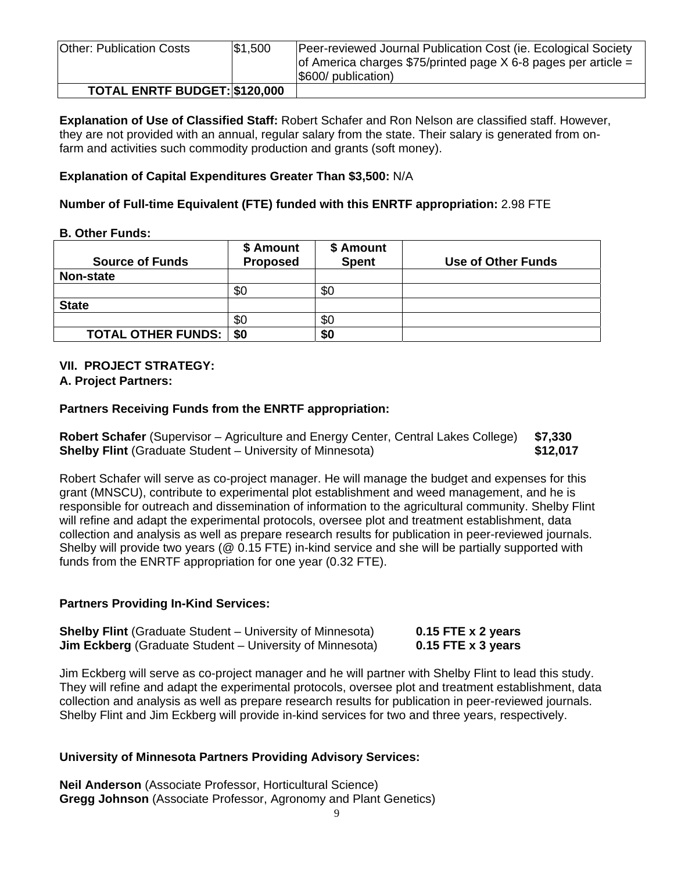| <b>Other: Publication Costs</b> | \$1,500 | Peer-reviewed Journal Publication Cost (ie. Ecological Society<br>of America charges \$75/printed page $X$ 6-8 pages per article =<br>$ $600/$ publication) |
|---------------------------------|---------|-------------------------------------------------------------------------------------------------------------------------------------------------------------|
| TOTAL ENRTF BUDGET: \$120,000   |         |                                                                                                                                                             |

**Explanation of Use of Classified Staff:** Robert Schafer and Ron Nelson are classified staff. However, they are not provided with an annual, regular salary from the state. Their salary is generated from onfarm and activities such commodity production and grants (soft money).

### **Explanation of Capital Expenditures Greater Than \$3,500:** N/A

## **Number of Full-time Equivalent (FTE) funded with this ENRTF appropriation:** 2.98 FTE

### **B. Other Funds:**

| <b>Source of Funds</b>      | \$ Amount<br><b>Proposed</b> | \$ Amount<br><b>Spent</b> | Use of Other Funds |
|-----------------------------|------------------------------|---------------------------|--------------------|
| Non-state                   |                              |                           |                    |
|                             | \$0                          | \$0                       |                    |
| <b>State</b>                |                              |                           |                    |
|                             | \$0                          | \$0                       |                    |
| <b>TOTAL OTHER FUNDS:  </b> | \$0                          | \$0                       |                    |

## **VII. PROJECT STRATEGY:**

### **A. Project Partners:**

## **Partners Receiving Funds from the ENRTF appropriation:**

**Robert Schafer** (Supervisor – Agriculture and Energy Center, Central Lakes College) **\$7,330 Shelby Flint** (Graduate Student – University of Minnesota) **\$12,017** \$12,017

Robert Schafer will serve as co-project manager. He will manage the budget and expenses for this grant (MNSCU), contribute to experimental plot establishment and weed management, and he is responsible for outreach and dissemination of information to the agricultural community. Shelby Flint will refine and adapt the experimental protocols, oversee plot and treatment establishment, data collection and analysis as well as prepare research results for publication in peer-reviewed journals. Shelby will provide two years (@ 0.15 FTE) in-kind service and she will be partially supported with funds from the ENRTF appropriation for one year (0.32 FTE).

### **Partners Providing In-Kind Services:**

| <b>Shelby Flint</b> (Graduate Student – University of Minnesota) | 0.15 FTE $x$ 2 years |
|------------------------------------------------------------------|----------------------|
| <b>Jim Eckberg</b> (Graduate Student – University of Minnesota)  | 0.15 FTE $x$ 3 years |

Jim Eckberg will serve as co-project manager and he will partner with Shelby Flint to lead this study. They will refine and adapt the experimental protocols, oversee plot and treatment establishment, data collection and analysis as well as prepare research results for publication in peer-reviewed journals. Shelby Flint and Jim Eckberg will provide in-kind services for two and three years, respectively.

### **University of Minnesota Partners Providing Advisory Services:**

**Neil Anderson** (Associate Professor, Horticultural Science) **Gregg Johnson** (Associate Professor, Agronomy and Plant Genetics)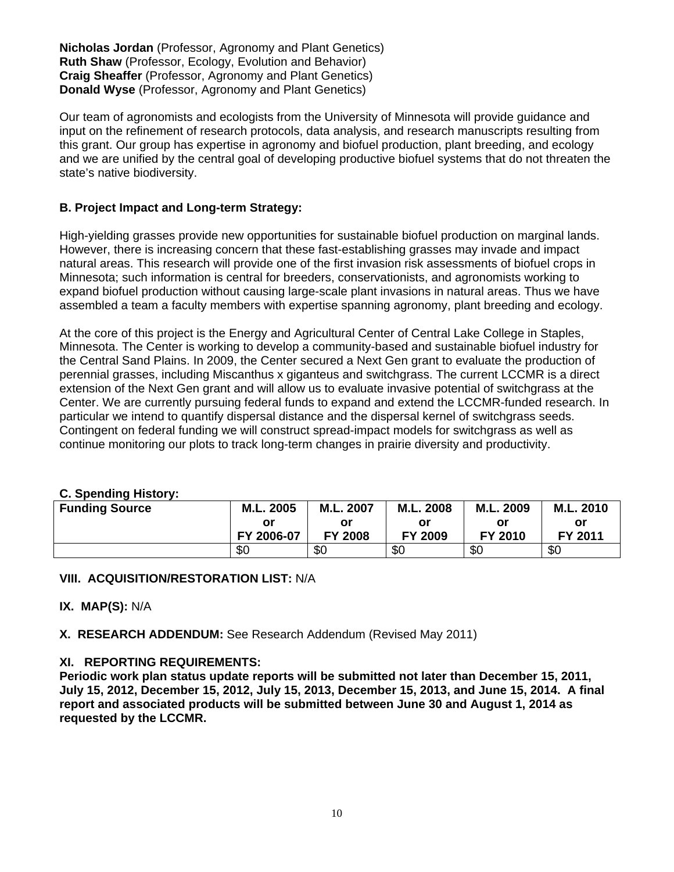**Nicholas Jordan** (Professor, Agronomy and Plant Genetics) **Ruth Shaw** (Professor, Ecology, Evolution and Behavior) **Craig Sheaffer** (Professor, Agronomy and Plant Genetics) **Donald Wyse** (Professor, Agronomy and Plant Genetics)

Our team of agronomists and ecologists from the University of Minnesota will provide guidance and input on the refinement of research protocols, data analysis, and research manuscripts resulting from this grant. Our group has expertise in agronomy and biofuel production, plant breeding, and ecology and we are unified by the central goal of developing productive biofuel systems that do not threaten the state's native biodiversity.

## **B. Project Impact and Long-term Strategy:**

High-yielding grasses provide new opportunities for sustainable biofuel production on marginal lands. However, there is increasing concern that these fast-establishing grasses may invade and impact natural areas. This research will provide one of the first invasion risk assessments of biofuel crops in Minnesota; such information is central for breeders, conservationists, and agronomists working to expand biofuel production without causing large-scale plant invasions in natural areas. Thus we have assembled a team a faculty members with expertise spanning agronomy, plant breeding and ecology.

At the core of this project is the Energy and Agricultural Center of Central Lake College in Staples, Minnesota. The Center is working to develop a community-based and sustainable biofuel industry for the Central Sand Plains. In 2009, the Center secured a Next Gen grant to evaluate the production of perennial grasses, including Miscanthus x giganteus and switchgrass. The current LCCMR is a direct extension of the Next Gen grant and will allow us to evaluate invasive potential of switchgrass at the Center. We are currently pursuing federal funds to expand and extend the LCCMR-funded research. In particular we intend to quantify dispersal distance and the dispersal kernel of switchgrass seeds. Contingent on federal funding we will construct spread-impact models for switchgrass as well as continue monitoring our plots to track long-term changes in prairie diversity and productivity.

### **C. Spending History:**

| <b>Funding Source</b> | M.L. 2005  | M.L. 2007      | M.L. 2008 | M.L. 2009 | M.L. 2010 |
|-----------------------|------------|----------------|-----------|-----------|-----------|
|                       | or         | or             | ΟI        | or        | or        |
|                       | FY 2006-07 | <b>FY 2008</b> | FY 2009   | FY 2010   | FY 2011   |
|                       | \$0        | \$0            | \$0       | \$0       | \$0       |

#### **VIII. ACQUISITION/RESTORATION LIST:** N/A

#### **IX. MAP(S):** N/A

**X. RESEARCH ADDENDUM:** See Research Addendum (Revised May 2011)

#### **XI. REPORTING REQUIREMENTS:**

**Periodic work plan status update reports will be submitted not later than December 15, 2011, July 15, 2012, December 15, 2012, July 15, 2013, December 15, 2013, and June 15, 2014. A final report and associated products will be submitted between June 30 and August 1, 2014 as requested by the LCCMR.**